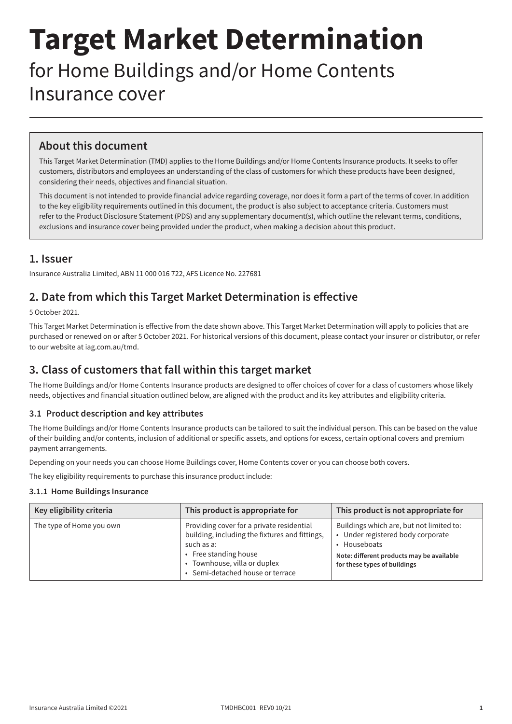# **Target Market Determination**

for Home Buildings and/or Home Contents Insurance cover

# **About this document**

This Target Market Determination (TMD) applies to the Home Buildings and/or Home Contents Insurance products. It seeks to offer customers, distributors and employees an understanding of the class of customers for which these products have been designed, considering their needs, objectives and financial situation.

This document is not intended to provide financial advice regarding coverage, nor does it form a part of the terms of cover. In addition to the key eligibility requirements outlined in this document, the product is also subject to acceptance criteria. Customers must refer to the Product Disclosure Statement (PDS) and any supplementary document(s), which outline the relevant terms, conditions, exclusions and insurance cover being provided under the product, when making a decision about this product.

## **1. Issuer**

Insurance Australia Limited, ABN 11 000 016 722, AFS Licence No. 227681

## **2. Date from which this Target Market Determination is effective**

5 October 2021.

This Target Market Determination is effective from the date shown above. This Target Market Determination will apply to policies that are purchased or renewed on or after 5 October 2021. For historical versions of this document, please contact your insurer or distributor, or refer to our website at [iag.com.au/tmd](http://iag.com.au/tmd).

# **3. Class of customers that fall within this target market**

The Home Buildings and/or Home Contents Insurance products are designed to offer choices of cover for a class of customers whose likely needs, objectives and financial situation outlined below, are aligned with the product and its key attributes and eligibility criteria.

## **3.1 Product description and key attributes**

The Home Buildings and/or Home Contents Insurance products can be tailored to suit the individual person. This can be based on the value of their building and/or contents, inclusion of additional or specific assets, and options for excess, certain optional covers and premium payment arrangements.

Depending on your needs you can choose Home Buildings cover, Home Contents cover or you can choose both covers.

The key eligibility requirements to purchase this insurance product include:

## **3.1.1 Home Buildings Insurance**

| Key eligibility criteria | This product is appropriate for                                                                                                                                                                        | This product is not appropriate for                                                                                                                                        |
|--------------------------|--------------------------------------------------------------------------------------------------------------------------------------------------------------------------------------------------------|----------------------------------------------------------------------------------------------------------------------------------------------------------------------------|
| The type of Home you own | Providing cover for a private residential<br>building, including the fixtures and fittings,<br>such as a:<br>• Free standing house<br>• Townhouse, villa or duplex<br>• Semi-detached house or terrace | Buildings which are, but not limited to:<br>• Under registered body corporate<br>• Houseboats<br>Note: different products may be available<br>for these types of buildings |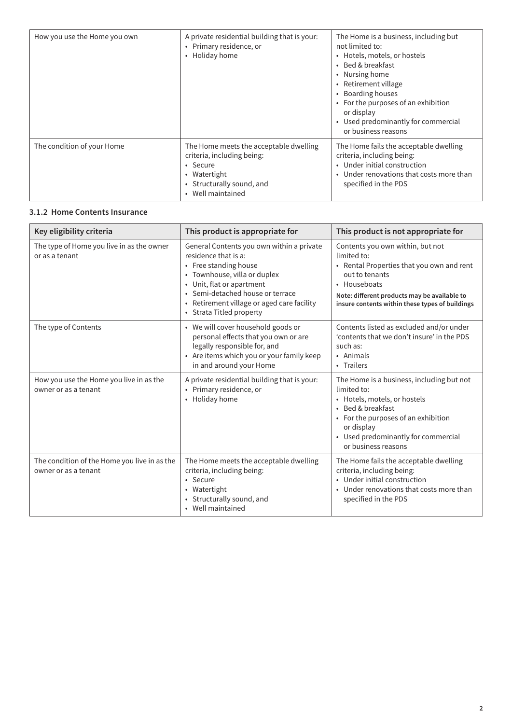| How you use the Home you own | A private residential building that is your:<br>• Primary residence, or<br>Holiday home<br>$\bullet$                                                        | The Home is a business, including but<br>not limited to:<br>• Hotels, motels, or hostels<br>• Bed & breakfast<br>• Nursing home<br>• Retirement village<br>• Boarding houses<br>• For the purposes of an exhibition<br>or display<br>• Used predominantly for commercial<br>or business reasons |
|------------------------------|-------------------------------------------------------------------------------------------------------------------------------------------------------------|-------------------------------------------------------------------------------------------------------------------------------------------------------------------------------------------------------------------------------------------------------------------------------------------------|
| The condition of your Home   | The Home meets the acceptable dwelling<br>criteria, including being:<br>• Secure<br>• Watertight<br>Structurally sound, and<br>$\bullet$<br>Well maintained | The Home fails the acceptable dwelling<br>criteria, including being:<br>• Under initial construction<br>• Under renovations that costs more than<br>specified in the PDS                                                                                                                        |

#### **3.1.2 Home Contents Insurance**

| Key eligibility criteria                                             | This product is appropriate for                                                                                                                                                                                                                                       | This product is not appropriate for                                                                                                                                                                                               |
|----------------------------------------------------------------------|-----------------------------------------------------------------------------------------------------------------------------------------------------------------------------------------------------------------------------------------------------------------------|-----------------------------------------------------------------------------------------------------------------------------------------------------------------------------------------------------------------------------------|
| The type of Home you live in as the owner<br>or as a tenant          | General Contents you own within a private<br>residence that is a:<br>• Free standing house<br>• Townhouse, villa or duplex<br>• Unit, flat or apartment<br>• Semi-detached house or terrace<br>• Retirement village or aged care facility<br>• Strata Titled property | Contents you own within, but not<br>limited to:<br>• Rental Properties that you own and rent<br>out to tenants<br>• Houseboats<br>Note: different products may be available to<br>insure contents within these types of buildings |
| The type of Contents                                                 | • We will cover household goods or<br>personal effects that you own or are<br>legally responsible for, and<br>• Are items which you or your family keep<br>in and around your Home                                                                                    | Contents listed as excluded and/or under<br>'contents that we don't insure' in the PDS<br>such as:<br>• Animals<br>• Trailers                                                                                                     |
| How you use the Home you live in as the<br>owner or as a tenant      | A private residential building that is your:<br>• Primary residence, or<br>• Holiday home                                                                                                                                                                             | The Home is a business, including but not<br>limited to:<br>• Hotels, motels, or hostels<br>• Bed & breakfast<br>• For the purposes of an exhibition<br>or display<br>• Used predominantly for commercial<br>or business reasons  |
| The condition of the Home you live in as the<br>owner or as a tenant | The Home meets the acceptable dwelling<br>criteria, including being:<br>• Secure<br>• Watertight<br>• Structurally sound, and<br>• Well maintained                                                                                                                    | The Home fails the acceptable dwelling<br>criteria, including being:<br>• Under initial construction<br>• Under renovations that costs more than<br>specified in the PDS                                                          |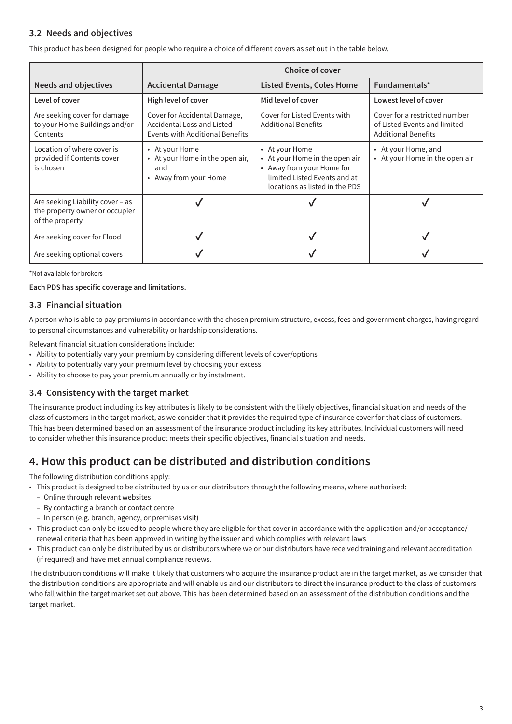## **3.2 Needs and objectives**

This product has been designed for people who require a choice of different covers as set out in the table below.

|                                                                                       | <b>Choice of cover</b>                                                                                      |                                                                                                                                                 |                                                                                             |
|---------------------------------------------------------------------------------------|-------------------------------------------------------------------------------------------------------------|-------------------------------------------------------------------------------------------------------------------------------------------------|---------------------------------------------------------------------------------------------|
| <b>Needs and objectives</b>                                                           | <b>Accidental Damage</b>                                                                                    | <b>Listed Events, Coles Home</b>                                                                                                                | Fundamentals*                                                                               |
| Level of cover                                                                        | High level of cover                                                                                         | Mid level of cover                                                                                                                              | Lowest level of cover                                                                       |
| Are seeking cover for damage<br>to your Home Buildings and/or<br>Contents             | Cover for Accidental Damage,<br><b>Accidental Loss and Listed</b><br><b>Events with Additional Benefits</b> | Cover for Listed Events with<br><b>Additional Benefits</b>                                                                                      | Cover for a restricted number<br>of Listed Events and limited<br><b>Additional Benefits</b> |
| Location of where cover is<br>provided if Contents cover<br>is chosen                 | • At your Home<br>• At your Home in the open air,<br>and<br>• Away from your Home                           | • At your Home<br>• At your Home in the open air<br>• Away from your Home for<br>limited Listed Events and at<br>locations as listed in the PDS | • At your Home, and<br>• At your Home in the open air                                       |
| Are seeking Liability cover - as<br>the property owner or occupier<br>of the property |                                                                                                             |                                                                                                                                                 |                                                                                             |
| Are seeking cover for Flood                                                           |                                                                                                             |                                                                                                                                                 |                                                                                             |
| Are seeking optional covers                                                           |                                                                                                             |                                                                                                                                                 |                                                                                             |

\*Not available for brokers

**Each PDS has specific coverage and limitations.**

## **3.3 Financial situation**

A person who is able to pay premiums in accordance with the chosen premium structure, excess, fees and government charges, having regard to personal circumstances and vulnerability or hardship considerations.

Relevant financial situation considerations include:

- Ability to potentially vary your premium by considering different levels of cover/options
- Ability to potentially vary your premium level by choosing your excess
- Ability to choose to pay your premium annually or by instalment.

## **3.4 Consistency with the target market**

The insurance product including its key attributes is likely to be consistent with the likely objectives, financial situation and needs of the class of customers in the target market, as we consider that it provides the required type of insurance cover for that class of customers. This has been determined based on an assessment of the insurance product including its key attributes. Individual customers will need to consider whether this insurance product meets their specific objectives, financial situation and needs.

## **4. How this product can be distributed and distribution conditions**

The following distribution conditions apply:

- This product is designed to be distributed by us or our distributors through the following means, where authorised:
	- Online through relevant websites
	- By contacting a branch or contact centre
	- In person (e.g. branch, agency, or premises visit)
- This product can only be issued to people where they are eligible for that cover in accordance with the application and/or acceptance/ renewal criteria that has been approved in writing by the issuer and which complies with relevant laws
- This product can only be distributed by us or distributors where we or our distributors have received training and relevant accreditation (if required) and have met annual compliance reviews.

The distribution conditions will make it likely that customers who acquire the insurance product are in the target market, as we consider that the distribution conditions are appropriate and will enable us and our distributors to direct the insurance product to the class of customers who fall within the target market set out above. This has been determined based on an assessment of the distribution conditions and the target market.